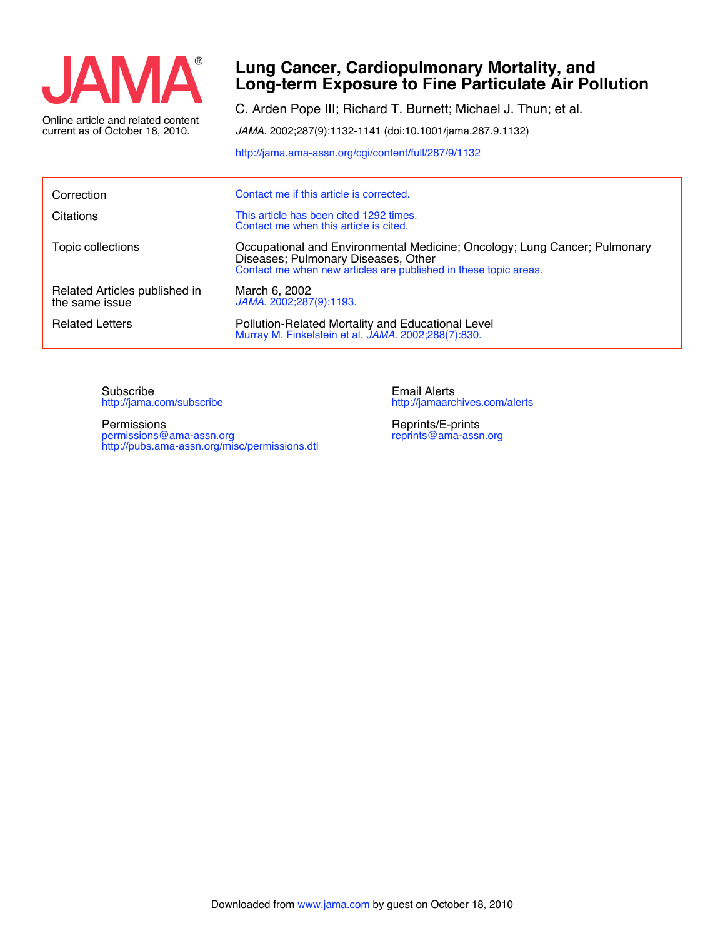

current as of October 18, 2010. Online article and related content

## **Long-term Exposure to Fine Particulate Air Pollution Lung Cancer, Cardiopulmonary Mortality, and**

C. Arden Pope III; Richard T. Burnett; Michael J. Thun; et al.

*JAMA*. 2002;287(9):1132-1141 (doi:10.1001/jama.287.9.1132)

<http://jama.ama-assn.org/cgi/content/full/287/9/1132>

| Correction                                      | Contact me if this article is corrected.                                                                                                                                             |
|-------------------------------------------------|--------------------------------------------------------------------------------------------------------------------------------------------------------------------------------------|
| Citations                                       | This article has been cited 1292 times.<br>Contact me when this article is cited.                                                                                                    |
| Topic collections                               | Occupational and Environmental Medicine; Oncology; Lung Cancer; Pulmonary<br>Diseases; Pulmonary Diseases, Other<br>Contact me when new articles are published in these topic areas. |
| Related Articles published in<br>the same issue | March 6, 2002<br>JAMA. 2002;287(9):1193.                                                                                                                                             |
| <b>Related Letters</b>                          | Pollution-Related Mortality and Educational Level<br>Murray M. Finkelstein et al. JAMA. 2002;288(7):830.                                                                             |

<http://jama.com/subscribe> Subscribe

<http://pubs.ama-assn.org/misc/permissions.dtl> permissions@ama-assn.org Permissions

<http://jamaarchives.com/alerts> Email Alerts

[reprints@ama-assn.org](mailto:reprints@ama-assn.org) Reprints/E-prints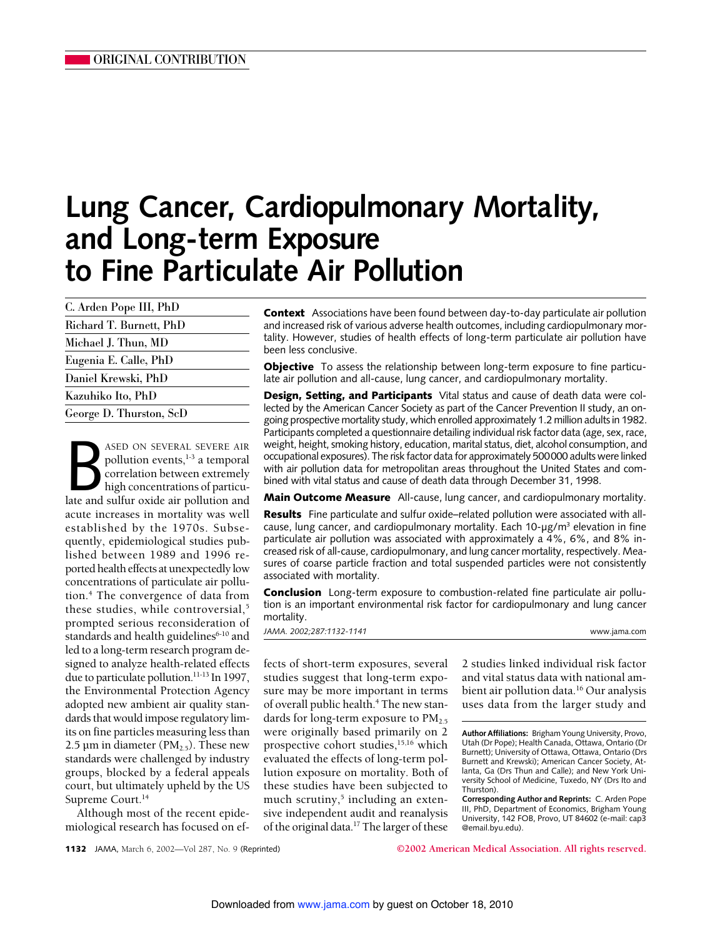# **Lung Cancer, Cardiopulmonary Mortality, and Long-term Exposure to Fine Particulate Air Pollution**

| C. Arden Pope III, PhD  |  |
|-------------------------|--|
| Richard T. Burnett, PhD |  |
| Michael J. Thun, MD     |  |
| Eugenia E. Calle, PhD   |  |
| Daniel Krewski, PhD     |  |
| Kazuhiko Ito, PhD       |  |
| George D. Thurston, ScD |  |

ASED ON SEVERAL SEVERE AIR<br>
pollution events,<sup>1-3</sup> a temporal<br>
correlation between extremely<br>
high concentrations of particu-<br>
late and sulfur oxide air pollution and ASED ON SEVERAL SEVERE AIR pollution events,<sup>1-3</sup> a temporal correlation between extremely high concentrations of particuacute increases in mortality was well established by the 1970s. Subsequently, epidemiological studies published between 1989 and 1996 reported health effects at unexpectedly low concentrations of particulate air pollution.4 The convergence of data from these studies, while controversial,<sup>5</sup> prompted serious reconsideration of standards and health guidelines<sup>6-10</sup> and led to a long-term research program designed to analyze health-related effects due to particulate pollution.11-13 In 1997, the Environmental Protection Agency adopted new ambient air quality standards that would impose regulatory limits on fine particles measuring less than 2.5 µm in diameter ( $PM<sub>2.5</sub>$ ). These new standards were challenged by industry groups, blocked by a federal appeals court, but ultimately upheld by the US Supreme Court.<sup>14</sup>

Although most of the recent epidemiological research has focused on efContext Associations have been found between day-to-day particulate air pollution and increased risk of various adverse health outcomes, including cardiopulmonary mortality. However, studies of health effects of long-term particulate air pollution have been less conclusive.

**Objective** To assess the relationship between long-term exposure to fine particulate air pollution and all-cause, lung cancer, and cardiopulmonary mortality.

Design, Setting, and Participants Vital status and cause of death data were collected by the American Cancer Society as part of the Cancer Prevention II study, an ongoing prospective mortality study, which enrolled approximately 1.2 million adults in 1982. Participants completed a questionnaire detailing individual risk factor data (age, sex, race, weight, height, smoking history, education, marital status, diet, alcohol consumption, and occupational exposures). The risk factor data for approximately 500000 adults were linked with air pollution data for metropolitan areas throughout the United States and combined with vital status and cause of death data through December 31, 1998.

**Main Outcome Measure** All-cause, lung cancer, and cardiopulmonary mortality.

**Results** Fine particulate and sulfur oxide–related pollution were associated with allcause, lung cancer, and cardiopulmonary mortality. Each 10- $\mu$ g/m<sup>3</sup> elevation in fine particulate air pollution was associated with approximately a 4%, 6%, and 8% increased risk of all-cause, cardiopulmonary, and lung cancer mortality, respectively. Measures of coarse particle fraction and total suspended particles were not consistently associated with mortality.

**Conclusion** Long-term exposure to combustion-related fine particulate air pollution is an important environmental risk factor for cardiopulmonary and lung cancer mortality.

*JAMA. 2002;287:1132-1141* www.jama.com

fects of short-term exposures, several studies suggest that long-term exposure may be more important in terms of overall public health.<sup>4</sup> The new standards for long-term exposure to  $PM_{2.5}$ were originally based primarily on 2 prospective cohort studies,<sup>15,16</sup> which evaluated the effects of long-term pollution exposure on mortality. Both of these studies have been subjected to much scrutiny, $5$  including an extensive independent audit and reanalysis of the original data.<sup>17</sup> The larger of these

2 studies linked individual risk factor and vital status data with national ambient air pollution data.<sup>16</sup> Our analysis uses data from the larger study and

**Author Affiliations:** Brigham Young University, Provo, Utah (Dr Pope); Health Canada, Ottawa, Ontario (Dr Burnett); University of Ottawa, Ottawa, Ontario (Drs Burnett and Krewski); American Cancer Society, Atlanta, Ga (Drs Thun and Calle); and New York University School of Medicine, Tuxedo, NY (Drs Ito and Thurston).

**Corresponding Author and Reprints:** C. Arden Pope III, PhD, Department of Economics, Brigham Young University, 142 FOB, Provo, UT 84602 (e-mail: cap3 @email.byu.edu).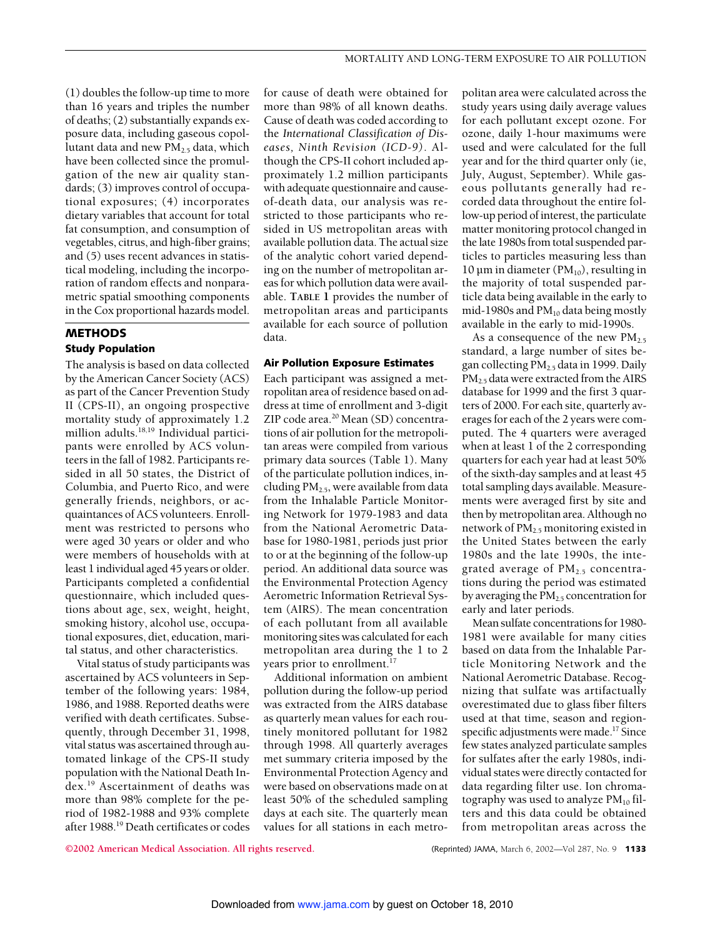(1) doubles the follow-up time to more than 16 years and triples the number of deaths; (2) substantially expands exposure data, including gaseous copollutant data and new  $PM<sub>2.5</sub>$  data, which have been collected since the promulgation of the new air quality standards; (3) improves control of occupational exposures; (4) incorporates dietary variables that account for total fat consumption, and consumption of vegetables, citrus, and high-fiber grains; and (5) uses recent advances in statistical modeling, including the incorporation of random effects and nonparametric spatial smoothing components in the Cox proportional hazards model.

### **METHODS** Study Population

The analysis is based on data collected by the American Cancer Society (ACS) as part of the Cancer Prevention Study II (CPS-II), an ongoing prospective mortality study of approximately 1.2 million adults.18,19 Individual participants were enrolled by ACS volunteers in the fall of 1982. Participants resided in all 50 states, the District of Columbia, and Puerto Rico, and were generally friends, neighbors, or acquaintances of ACS volunteers. Enrollment was restricted to persons who were aged 30 years or older and who were members of households with at least 1 individual aged 45 years or older. Participants completed a confidential questionnaire, which included questions about age, sex, weight, height, smoking history, alcohol use, occupational exposures, diet, education, marital status, and other characteristics.

Vital status of study participants was ascertained by ACS volunteers in September of the following years: 1984, 1986, and 1988. Reported deaths were verified with death certificates. Subsequently, through December 31, 1998, vital status was ascertained through automated linkage of the CPS-II study population with the National Death Index.19 Ascertainment of deaths was more than 98% complete for the period of 1982-1988 and 93% complete after 1988.19 Death certificates or codes for cause of death were obtained for more than 98% of all known deaths. Cause of death was coded according to the *International Classification of Diseases, Ninth Revision (ICD-9)*. Although the CPS-II cohort included approximately 1.2 million participants with adequate questionnaire and causeof-death data, our analysis was restricted to those participants who resided in US metropolitan areas with available pollution data. The actual size of the analytic cohort varied depending on the number of metropolitan areas for which pollution data were available. **TABLE 1** provides the number of metropolitan areas and participants available for each source of pollution data.

#### Air Pollution Exposure Estimates

Each participant was assigned a metropolitan area of residence based on address at time of enrollment and 3-digit ZIP code area.<sup>20</sup> Mean (SD) concentrations of air pollution for the metropolitan areas were compiled from various primary data sources (Table 1). Many of the particulate pollution indices, including  $PM<sub>2.5</sub>$ , were available from data from the Inhalable Particle Monitoring Network for 1979-1983 and data from the National Aerometric Database for 1980-1981, periods just prior to or at the beginning of the follow-up period. An additional data source was the Environmental Protection Agency Aerometric Information Retrieval System (AIRS). The mean concentration of each pollutant from all available monitoring sites was calculated for each metropolitan area during the 1 to 2 years prior to enrollment.<sup>17</sup>

Additional information on ambient pollution during the follow-up period was extracted from the AIRS database as quarterly mean values for each routinely monitored pollutant for 1982 through 1998. All quarterly averages met summary criteria imposed by the Environmental Protection Agency and were based on observations made on at least 50% of the scheduled sampling days at each site. The quarterly mean values for all stations in each metropolitan area were calculated across the study years using daily average values for each pollutant except ozone. For ozone, daily 1-hour maximums were used and were calculated for the full year and for the third quarter only (ie, July, August, September). While gaseous pollutants generally had recorded data throughout the entire follow-up period of interest, the particulate matter monitoring protocol changed in the late 1980s from total suspended particles to particles measuring less than 10 µm in diameter ( $PM_{10}$ ), resulting in the majority of total suspended particle data being available in the early to mid-1980s and  $PM_{10}$  data being mostly available in the early to mid-1990s.

As a consequence of the new  $PM_{2.5}$ standard, a large number of sites began collecting PM2.5 data in 1999. Daily PM2.5 data were extracted from the AIRS database for 1999 and the first 3 quarters of 2000. For each site, quarterly averages for each of the 2 years were computed. The 4 quarters were averaged when at least 1 of the 2 corresponding quarters for each year had at least 50% of the sixth-day samples and at least 45 total sampling days available. Measurements were averaged first by site and then by metropolitan area. Although no network of PM2.5 monitoring existed in the United States between the early 1980s and the late 1990s, the integrated average of  $PM<sub>2.5</sub>$  concentrations during the period was estimated by averaging the  $PM_{2.5}$  concentration for early and later periods.

Mean sulfate concentrations for 1980- 1981 were available for many cities based on data from the Inhalable Particle Monitoring Network and the National Aerometric Database. Recognizing that sulfate was artifactually overestimated due to glass fiber filters used at that time, season and regionspecific adjustments were made.<sup>17</sup> Since few states analyzed particulate samples for sulfates after the early 1980s, individual states were directly contacted for data regarding filter use. Ion chromatography was used to analyze  $PM_{10}$  filters and this data could be obtained from metropolitan areas across the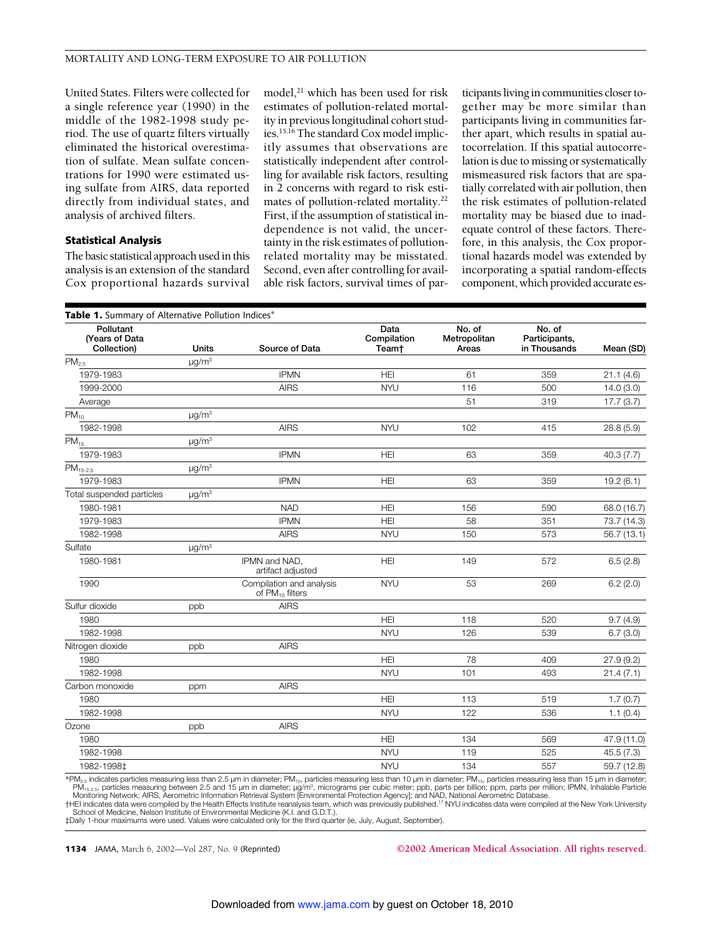United States. Filters were collected for a single reference year (1990) in the middle of the 1982-1998 study period. The use of quartz filters virtually eliminated the historical overestimation of sulfate. Mean sulfate concentrations for 1990 were estimated using sulfate from AIRS, data reported directly from individual states, and analysis of archived filters.

#### Statistical Analysis

The basic statistical approach usedin this analysis is an extension of the standard Cox proportional hazards survival model,<sup>21</sup> which has been used for risk estimates of pollution-related mortality in previous longitudinal cohort studies.15,16 The standard Cox model implicitly assumes that observations are statistically independent after controlling for available risk factors, resulting in 2 concerns with regard to risk estimates of pollution-related mortality.22 First, if the assumption of statistical independence is not valid, the uncertainty in the risk estimates of pollutionrelated mortality may be misstated. Second, even after controlling for available risk factors, survival times of par-

ticipants living in communities closer together may be more similar than participants living in communities farther apart, which results in spatial autocorrelation. If this spatial autocorrelation is due to missing or systematically mismeasured risk factors that are spatially correlated with air pollution, then the risk estimates of pollution-related mortality may be biased due to inadequate control of these factors. Therefore, in this analysis, the Cox proportional hazards model was extended by incorporating a spatial random-effects component, which provided accurate es-

| Pollutant<br>(Years of Data<br>Collection) | <b>Units</b>           | Source of Data                                   | Data<br>Compilation<br>Team† | No. of<br>Metropolitan<br>Areas | No. of<br>Participants,<br>in Thousands | Mean (SD)   |
|--------------------------------------------|------------------------|--------------------------------------------------|------------------------------|---------------------------------|-----------------------------------------|-------------|
| PM <sub>2.5</sub>                          | $\mu g/m^3$            |                                                  |                              |                                 |                                         |             |
| 1979-1983                                  |                        | <b>IPMN</b>                                      | <b>HEI</b>                   | 61                              | 359                                     | 21.1(4.6)   |
| 1999-2000                                  |                        | <b>AIRS</b>                                      | <b>NYU</b>                   | 116                             | 500                                     | 14.0 (3.0)  |
| Average                                    |                        |                                                  |                              | 51                              | 319                                     | 17.7(3.7)   |
| $PM_{10}$                                  | $\mu q/m^3$            |                                                  |                              |                                 |                                         |             |
| 1982-1998                                  |                        | <b>AIRS</b>                                      | <b>NYU</b>                   | 102                             | 415                                     | 28.8(5.9)   |
| $PM_{15}$                                  | $\mu$ g/m <sup>3</sup> |                                                  |                              |                                 |                                         |             |
| 1979-1983                                  |                        | <b>IPMN</b>                                      | <b>HEI</b>                   | 63                              | 359                                     | 40.3(7.7)   |
| $PM_{15-2.5}$                              | $\mu$ g/m <sup>3</sup> |                                                  |                              |                                 |                                         |             |
| 1979-1983                                  |                        | <b>IPMN</b>                                      | <b>HEI</b>                   | 63                              | 359                                     | 19.2(6.1)   |
| Total suspended particles                  | $\mu$ g/m <sup>3</sup> |                                                  |                              |                                 |                                         |             |
| 1980-1981                                  |                        | <b>NAD</b>                                       | <b>HEI</b>                   | 156                             | 590                                     | 68.0 (16.7) |
| 1979-1983                                  |                        | <b>IPMN</b>                                      | <b>HEI</b>                   | 58                              | 351                                     | 73.7 (14.3) |
| 1982-1998                                  |                        | <b>AIRS</b>                                      | <b>NYU</b>                   | 150                             | 573                                     | 56.7(13.1)  |
| Sulfate                                    | $\mu$ g/m <sup>3</sup> |                                                  |                              |                                 |                                         |             |
| 1980-1981                                  |                        | IPMN and NAD,<br>artifact adjusted               | HEI                          | 149                             | 572                                     | 6.5(2.8)    |
| 1990                                       |                        | Compilation and analysis<br>of $PM_{10}$ filters | <b>NYU</b>                   | 53                              | 269                                     | 6.2(2.0)    |
| Sulfur dioxide                             | ppb                    | <b>AIRS</b>                                      |                              |                                 |                                         |             |
| 1980                                       |                        |                                                  | <b>HEI</b>                   | 118                             | 520                                     | 9.7(4.9)    |
| 1982-1998                                  |                        |                                                  | <b>NYU</b>                   | 126                             | 539                                     | 6.7(3.0)    |
| Nitrogen dioxide                           | ppb                    | <b>AIRS</b>                                      |                              |                                 |                                         |             |
| 1980                                       |                        |                                                  | HEI                          | 78                              | 409                                     | 27.9(9.2)   |
| 1982-1998                                  |                        |                                                  | <b>NYU</b>                   | 101                             | 493                                     | 21.4(7.1)   |
| Carbon monoxide                            | ppm                    | <b>AIRS</b>                                      |                              |                                 |                                         |             |
| 1980                                       |                        |                                                  | <b>HEI</b>                   | 113                             | 519                                     | 1.7(0.7)    |
| 1982-1998                                  |                        |                                                  | <b>NYU</b>                   | 122                             | 536                                     | 1.1(0.4)    |
| Ozone                                      | ppb                    | <b>AIRS</b>                                      |                              |                                 |                                         |             |
| 1980                                       |                        |                                                  | <b>HEI</b>                   | 134                             | 569                                     | 47.9 (11.0) |
| 1982-1998                                  |                        |                                                  | <b>NYU</b>                   | 119                             | 525                                     | 45.5 (7.3)  |
| 1982-1998‡                                 |                        |                                                  | <b>NYU</b>                   | 134                             | 557                                     | 59.7 (12.8) |
|                                            |                        |                                                  |                              |                                 |                                         |             |

\*PM<sub>2.5</sub> indicates particles measuring less than 2.5 µm in diameter; PM<sub>10</sub>, particles measuring less than 10 µm in diameter; PM<sub>15</sub>, particles measuring less than 15 µm in diameter; PM<sub>15-2.5</sub>, particles measuring between 2.5 and 15 µm in diameter; µg/m<sup>3</sup>, micrograms per cubic meter; ppb, parts per billion; ppm, parts per million; IPMN, Inhalable Particle<br>Monitoring Network; AIRS, Aerometric Informat

School of Medicine, Nelson Institute of Environmental Medicine (K.I. and G.D.T.). ‡Daily 1-hour maximums were used. Values were calculated only for the third quarter (ie, July, August, September).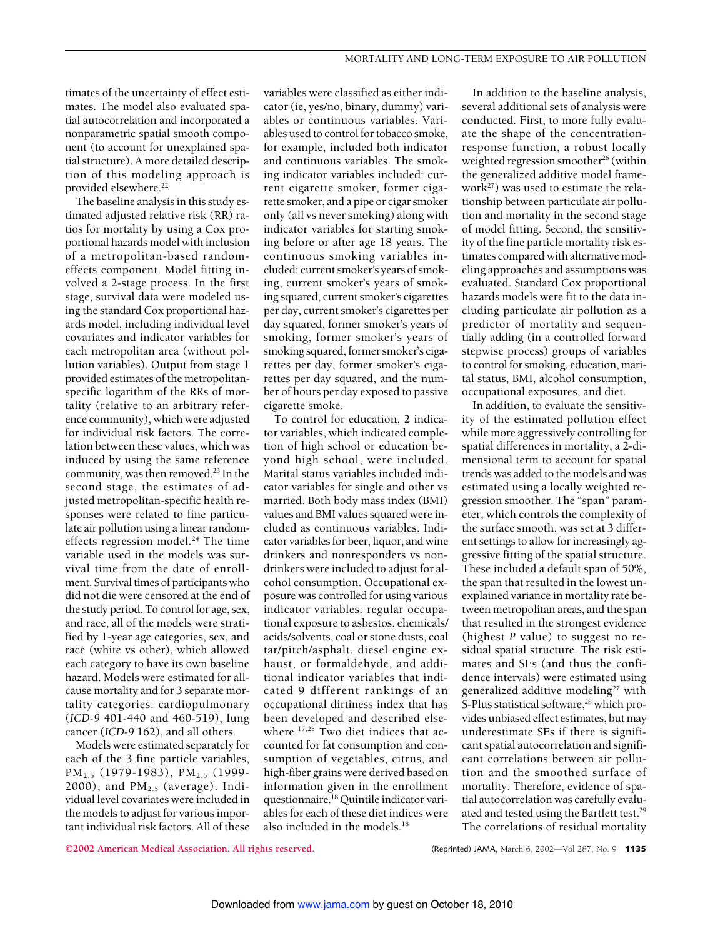timates of the uncertainty of effect estimates. The model also evaluated spatial autocorrelation and incorporated a nonparametric spatial smooth component (to account for unexplained spatial structure). A more detailed description of this modeling approach is provided elsewhere.<sup>22</sup>

The baseline analysis in this study estimated adjusted relative risk (RR) ratios for mortality by using a Cox proportional hazards model with inclusion of a metropolitan-based randomeffects component. Model fitting involved a 2-stage process. In the first stage, survival data were modeled using the standard Cox proportional hazards model, including individual level covariates and indicator variables for each metropolitan area (without pollution variables). Output from stage 1 provided estimates of the metropolitanspecific logarithm of the RRs of mortality (relative to an arbitrary reference community), which were adjusted for individual risk factors. The correlation between these values, which was induced by using the same reference community, was then removed. $^{23}$  In the second stage, the estimates of adjusted metropolitan-specific health responses were related to fine particulate air pollution using a linear randomeffects regression model.<sup>24</sup> The time variable used in the models was survival time from the date of enrollment. Survival times of participants who did not die were censored at the end of the study period. To control for age, sex, and race, all of the models were stratified by 1-year age categories, sex, and race (white vs other), which allowed each category to have its own baseline hazard. Models were estimated for allcause mortality and for 3 separate mortality categories: cardiopulmonary (*ICD-9* 401-440 and 460-519), lung cancer (*ICD-9* 162), and all others.

Models were estimated separately for each of the 3 fine particle variables, PM<sub>2.5</sub> (1979-1983), PM<sub>2.5</sub> (1999-2000), and  $PM<sub>2.5</sub>$  (average). Individual level covariates were included in the models to adjust for various important individual risk factors. All of these

variables were classified as either indicator (ie, yes/no, binary, dummy) variables or continuous variables. Variables used to control for tobacco smoke, for example, included both indicator and continuous variables. The smoking indicator variables included: current cigarette smoker, former cigarette smoker, and a pipe or cigar smoker only (all vs never smoking) along with indicator variables for starting smoking before or after age 18 years. The continuous smoking variables included: current smoker's years of smoking, current smoker's years of smoking squared, current smoker's cigarettes per day, current smoker's cigarettes per day squared, former smoker's years of smoking, former smoker's years of smoking squared, former smoker's cigarettes per day, former smoker's cigarettes per day squared, and the number of hours per day exposed to passive cigarette smoke.

To control for education, 2 indicator variables, which indicated completion of high school or education beyond high school, were included. Marital status variables included indicator variables for single and other vs married. Both body mass index (BMI) values and BMI values squared were included as continuous variables. Indicator variables for beer, liquor, and wine drinkers and nonresponders vs nondrinkers were included to adjust for alcohol consumption. Occupational exposure was controlled for using various indicator variables: regular occupational exposure to asbestos, chemicals/ acids/solvents, coal or stone dusts, coal tar/pitch/asphalt, diesel engine exhaust, or formaldehyde, and additional indicator variables that indicated 9 different rankings of an occupational dirtiness index that has been developed and described elsewhere.<sup>17,25</sup> Two diet indices that accounted for fat consumption and consumption of vegetables, citrus, and high-fiber grains were derived based on information given in the enrollment questionnaire.18 Quintile indicator variables for each of these diet indices were also included in the models.18

In addition to the baseline analysis, several additional sets of analysis were conducted. First, to more fully evaluate the shape of the concentrationresponse function, a robust locally weighted regression smoother<sup>26</sup> (within the generalized additive model framework27) was used to estimate the relationship between particulate air pollution and mortality in the second stage of model fitting. Second, the sensitivity of the fine particle mortality risk estimates compared with alternative modeling approaches and assumptions was evaluated. Standard Cox proportional hazards models were fit to the data including particulate air pollution as a predictor of mortality and sequentially adding (in a controlled forward stepwise process) groups of variables to control for smoking, education, marital status, BMI, alcohol consumption, occupational exposures, and diet.

In addition, to evaluate the sensitivity of the estimated pollution effect while more aggressively controlling for spatial differences in mortality, a 2-dimensional term to account for spatial trends was added to the models and was estimated using a locally weighted regression smoother. The "span" parameter, which controls the complexity of the surface smooth, was set at 3 different settings to allow for increasingly aggressive fitting of the spatial structure. These included a default span of 50%, the span that resulted in the lowest unexplained variance in mortality rate between metropolitan areas, and the span that resulted in the strongest evidence (highest *P* value) to suggest no residual spatial structure. The risk estimates and SEs (and thus the confidence intervals) were estimated using generalized additive modeling<sup>27</sup> with S-Plus statistical software,<sup>28</sup> which provides unbiased effect estimates, but may underestimate SEs if there is significant spatial autocorrelation and significant correlations between air pollution and the smoothed surface of mortality. Therefore, evidence of spatial autocorrelation was carefully evaluated and tested using the Bartlett test.<sup>29</sup> The correlations of residual mortality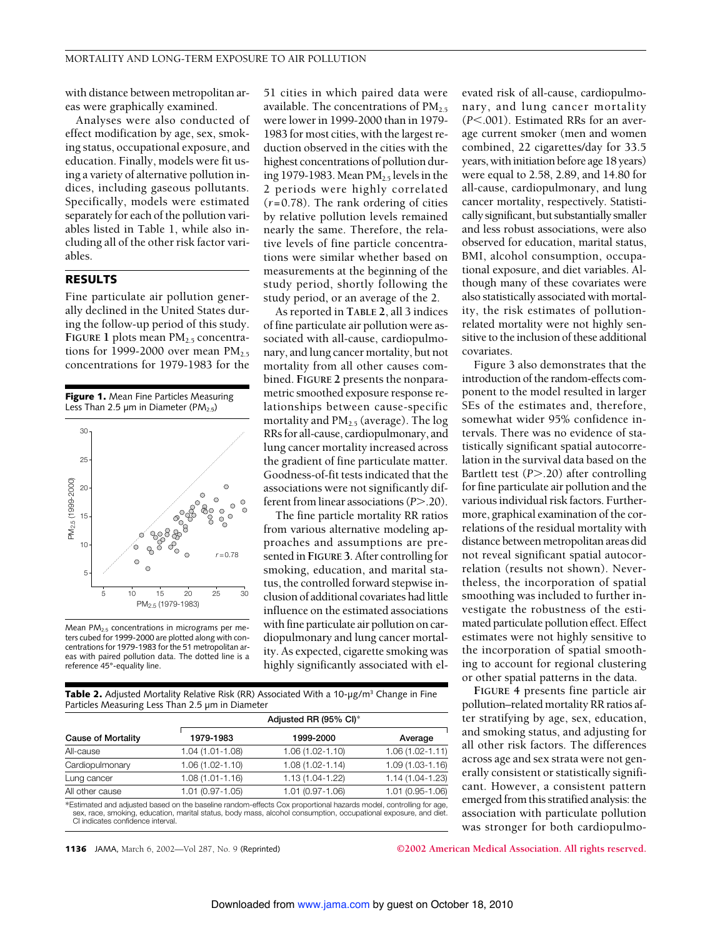with distance between metropolitan areas were graphically examined.

Analyses were also conducted of effect modification by age, sex, smoking status, occupational exposure, and education. Finally, models were fit using a variety of alternative pollution indices, including gaseous pollutants. Specifically, models were estimated separately for each of the pollution variables listed in Table 1, while also including all of the other risk factor variables.

#### RESULTS

Fine particulate air pollution generally declined in the United States during the follow-up period of this study. **FIGURE 1** plots mean  $PM_{2.5}$  concentrations for 1999-2000 over mean  $PM_{2.5}$ concentrations for 1979-1983 for the



Mean PM2.5 concentrations in micrograms per meters cubed for 1999-2000 are plotted along with concentrations for 1979-1983 for the 51 metropolitan areas with paired pollution data. The dotted line is a reference 45°-equality line.

51 cities in which paired data were available. The concentrations of  $PM<sub>2.5</sub>$ were lower in 1999-2000 than in 1979- 1983 for most cities, with the largest reduction observed in the cities with the highest concentrations of pollution during 1979-1983. Mean  $PM<sub>2.5</sub>$  levels in the 2 periods were highly correlated (*r*=0.78). The rank ordering of cities by relative pollution levels remained nearly the same. Therefore, the relative levels of fine particle concentrations were similar whether based on measurements at the beginning of the study period, shortly following the study period, or an average of the 2.

As reported in **TABLE 2**, all 3 indices of fine particulate air pollution were associated with all-cause, cardiopulmonary, and lung cancer mortality, but not mortality from all other causes combined. **FIGURE 2** presents the nonparametric smoothed exposure response relationships between cause-specific mortality and  $PM_{2.5}$  (average). The log RRs for all-cause, cardiopulmonary, and lung cancer mortality increased across the gradient of fine particulate matter. Goodness-of-fit tests indicated that the associations were not significantly different from linear associations (*P*>.20).

The fine particle mortality RR ratios from various alternative modeling approaches and assumptions are presented in **FIGURE 3**. After controlling for smoking, education, and marital status, the controlled forward stepwise inclusion of additional covariates had little influence on the estimated associations with fine particulate air pollution on cardiopulmonary and lung cancer mortality. As expected, cigarette smoking was highly significantly associated with el-

**Table 2.** Adjusted Mortality Relative Risk (RR) Associated With a 10- $\mu$ g/m<sup>3</sup> Change in Fine Particles Measuring Less Than 2.5 µm in Diameter Adjusted RR (95% CI)\*

| <b>Cause of Mortality</b> | 1979-1983           | 1999-2000                                                                                                        | Average             |  |  |  |
|---------------------------|---------------------|------------------------------------------------------------------------------------------------------------------|---------------------|--|--|--|
| All-cause                 | 1.04 (1.01-1.08)    | 1.06 (1.02-1.10)                                                                                                 | $1.06(1.02 - 1.11)$ |  |  |  |
| Cardiopulmonary           | 1.06 (1.02-1.10)    | $1.08(1.02 - 1.14)$                                                                                              | $1.09(1.03 - 1.16)$ |  |  |  |
| Lung cancer               | 1.08 (1.01-1.16)    | 1.13 (1.04-1.22)                                                                                                 | 1.14 (1.04-1.23)    |  |  |  |
| All other cause           | $1.01(0.97 - 1.05)$ | 1.01 (0.97-1.06)                                                                                                 | 1.01 (0.95-1.06)    |  |  |  |
|                           |                     | *Estimated and adjusted based on the baseline random-effects Cox proportional hazards model, controlling for age |                     |  |  |  |

Estimated and adjusted based on the baseline random-effects Cox proportional hazards model, controlling for age,<br>sex, race, smoking, education, marital status, body mass, alcohol consumption, occupational exposure, and die CI indicates confidence interval.

1136 JAMA, March 6, 2002—Vol 287, No. 9 (Reprinted) **©2002 American Medical Association. All rights reserved.**

evated risk of all-cause, cardiopulmonary, and lung cancer mortality  $(P<.001)$ . Estimated RRs for an average current smoker (men and women combined, 22 cigarettes/day for 33.5 years, with initiation before age 18 years) were equal to 2.58, 2.89, and 14.80 for all-cause, cardiopulmonary, and lung cancer mortality, respectively. Statistically significant, but substantially smaller and less robust associations, were also observed for education, marital status, BMI, alcohol consumption, occupational exposure, and diet variables. Although many of these covariates were also statistically associated with mortality, the risk estimates of pollutionrelated mortality were not highly sensitive to the inclusion of these additional covariates.

Figure 3 also demonstrates that the introduction of the random-effects component to the model resulted in larger SEs of the estimates and, therefore, somewhat wider 95% confidence intervals. There was no evidence of statistically significant spatial autocorrelation in the survival data based on the Bartlett test (*P*>.20) after controlling for fine particulate air pollution and the various individual risk factors. Furthermore, graphical examination of the correlations of the residual mortality with distance between metropolitan areas did not reveal significant spatial autocorrelation (results not shown). Nevertheless, the incorporation of spatial smoothing was included to further investigate the robustness of the estimated particulate pollution effect. Effect estimates were not highly sensitive to the incorporation of spatial smoothing to account for regional clustering or other spatial patterns in the data.

**FIGURE 4** presents fine particle air pollution–related mortality RR ratios after stratifying by age, sex, education, and smoking status, and adjusting for all other risk factors. The differences across age and sex strata were not generally consistent or statistically significant. However, a consistent pattern emerged from this stratified analysis: the association with particulate pollution was stronger for both cardiopulmo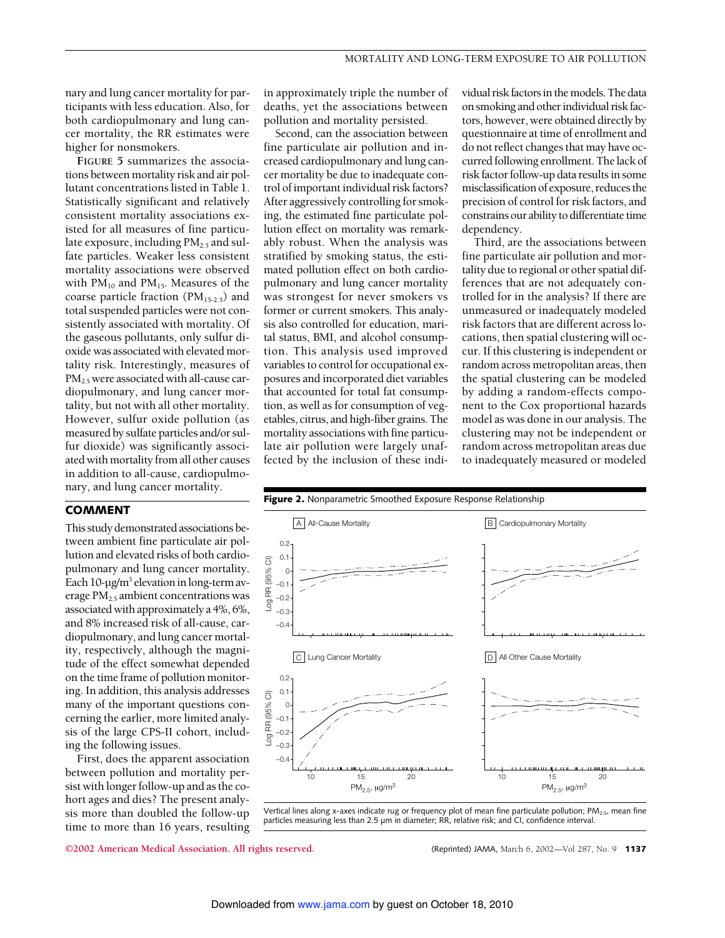nary and lung cancer mortality for participants with less education. Also, for both cardiopulmonary and lung cancer mortality, the RR estimates were higher for nonsmokers.

**FIGURE 5** summarizes the associations between mortality risk and air pollutant concentrations listed in Table 1. Statistically significant and relatively consistent mortality associations existed for all measures of fine particulate exposure, including  $PM<sub>2.5</sub>$  and sulfate particles. Weaker less consistent mortality associations were observed with  $PM_{10}$  and  $PM_{15}$ . Measures of the coarse particle fraction  $(PM_{15-2.5})$  and total suspended particles were not consistently associated with mortality. Of the gaseous pollutants, only sulfur dioxide was associated with elevated mortality risk. Interestingly, measures of  $PM<sub>2.5</sub>$  were associated with all-cause cardiopulmonary, and lung cancer mortality, but not with all other mortality. However, sulfur oxide pollution (as measured by sulfate particles and/or sulfur dioxide) was significantly associated with mortality from all other causes in addition to all-cause, cardiopulmonary, and lung cancer mortality.

#### COMMENT

This study demonstrated associations between ambient fine particulate air pollution and elevated risks of both cardiopulmonary and lung cancer mortality. Each  $10$ - $\mu$ g/m<sup>3</sup> elevation in long-term average  $PM<sub>2.5</sub>$  ambient concentrations was associated with approximately a 4%, 6%, and 8% increased risk of all-cause, cardiopulmonary, and lung cancer mortality, respectively, although the magnitude of the effect somewhat depended on the time frame of pollution monitoring. In addition, this analysis addresses many of the important questions concerning the earlier, more limited analysis of the large CPS-II cohort, including the following issues.

First, does the apparent association between pollution and mortality persist with longer follow-up and as the cohort ages and dies? The present analysis more than doubled the follow-up time to more than 16 years, resulting in approximately triple the number of deaths, yet the associations between pollution and mortality persisted.

Second, can the association between fine particulate air pollution and increased cardiopulmonary and lung cancer mortality be due to inadequate control of important individual risk factors? After aggressively controlling for smoking, the estimated fine particulate pollution effect on mortality was remarkably robust. When the analysis was stratified by smoking status, the estimated pollution effect on both cardiopulmonary and lung cancer mortality was strongest for never smokers vs former or current smokers. This analysis also controlled for education, marital status, BMI, and alcohol consumption. This analysis used improved variables to control for occupational exposures and incorporated diet variables that accounted for total fat consumption, as well as for consumption of vegetables, citrus, and high-fiber grains. The mortality associations with fine particulate air pollution were largely unaffected by the inclusion of these individual risk factors in the models. The data on smoking and other individual risk factors, however, were obtained directly by questionnaire at time of enrollment and do not reflect changes that may have occurred following enrollment. The lack of risk factor follow-up data results in some misclassification of exposure, reduces the precision of control for risk factors, and constrains our ability to differentiate time dependency.

Third, are the associations between fine particulate air pollution and mortality due to regional or other spatial differences that are not adequately controlled for in the analysis? If there are unmeasured or inadequately modeled risk factors that are different across locations, then spatial clustering will occur. If this clustering is independent or random across metropolitan areas, then the spatial clustering can be modeled by adding a random-effects component to the Cox proportional hazards model as was done in our analysis. The clustering may not be independent or random across metropolitan areas due to inadequately measured or modeled



Vertical lines along x-axes indicate rug or frequency plot of mean fine particulate pollution;  $PM_{2.5}$ , mean fine particles measuring less than 2.5 µm in diameter; RR, relative risk; and CI, confidence interval.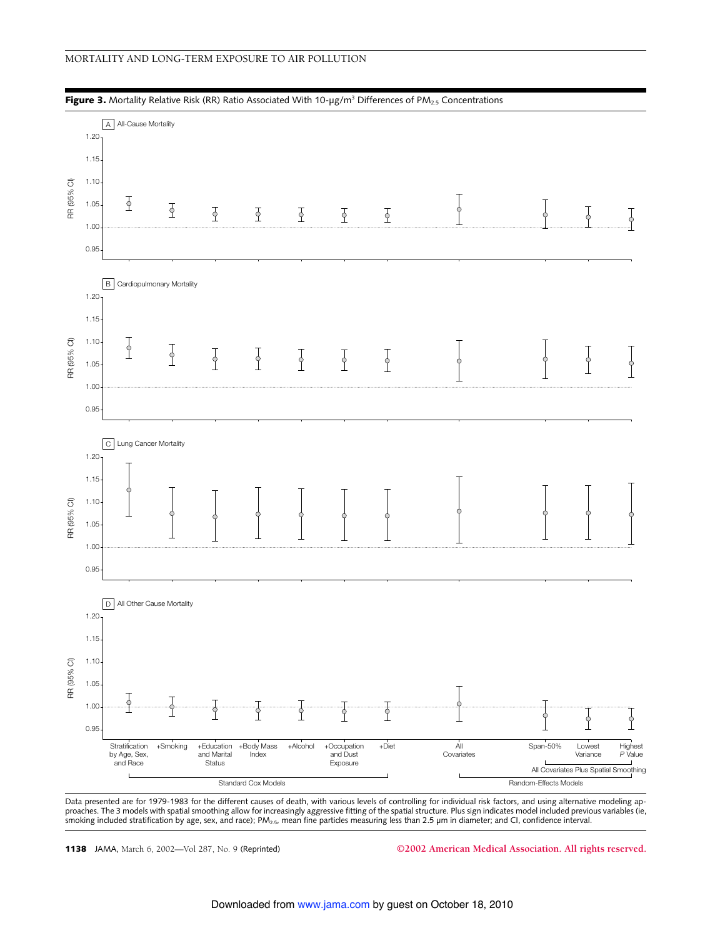



Data presented are for 1979-1983 for the different causes of death, with various levels of controlling for individual risk factors, and using alternative modeling ap-<br>proaches. The 3 models with spatial smoothing allow for smoking included stratification by age, sex, and race);  $PM_{2.5}$ , mean fine particles measuring less than 2.5 µm in diameter; and CI, confidence interval.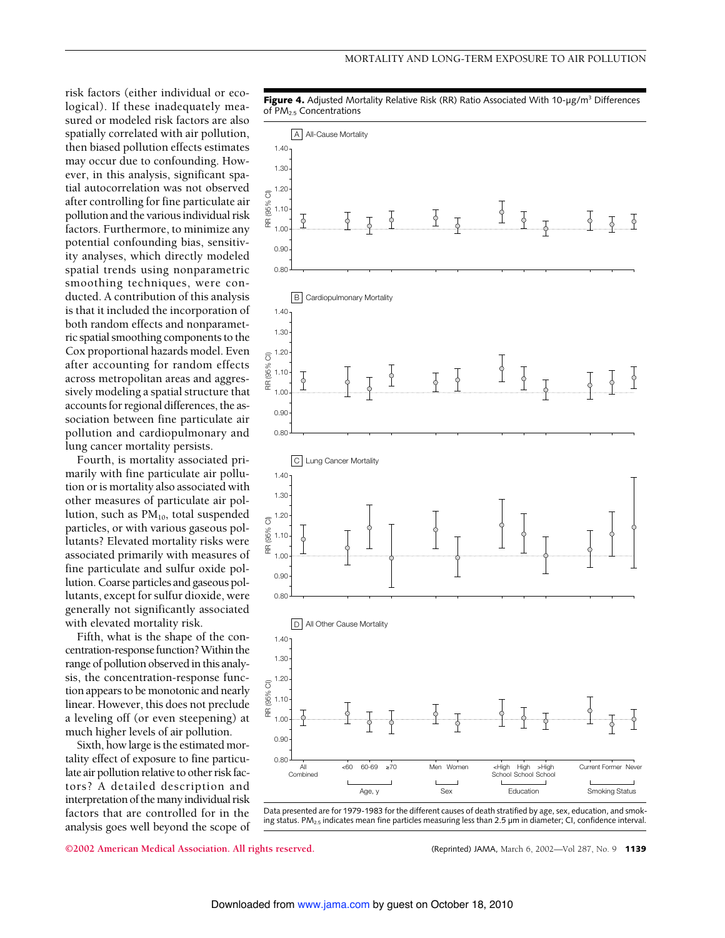risk factors (either individual or ecological). If these inadequately measured or modeled risk factors are also spatially correlated with air pollution, then biased pollution effects estimates may occur due to confounding. However, in this analysis, significant spatial autocorrelation was not observed after controlling for fine particulate air pollution and the various individual risk factors. Furthermore, to minimize any potential confounding bias, sensitivity analyses, which directly modeled spatial trends using nonparametric smoothing techniques, were conducted. A contribution of this analysis is that it included the incorporation of both random effects and nonparametric spatial smoothing components to the Cox proportional hazards model. Even after accounting for random effects across metropolitan areas and aggressively modeling a spatial structure that accounts for regional differences, the association between fine particulate air pollution and cardiopulmonary and lung cancer mortality persists.

Fourth, is mortality associated primarily with fine particulate air pollution or is mortality also associated with other measures of particulate air pollution, such as  $PM_{10}$ , total suspended particles, or with various gaseous pollutants? Elevated mortality risks were associated primarily with measures of fine particulate and sulfur oxide pollution. Coarse particles and gaseous pollutants, except for sulfur dioxide, were generally not significantly associated with elevated mortality risk.

Fifth, what is the shape of the concentration-response function? Within the range of pollution observed in this analysis, the concentration-response function appears to be monotonic and nearly linear. However, this does not preclude a leveling off (or even steepening) at much higher levels of air pollution.

Sixth, how large is the estimated mortality effect of exposure to fine particulate air pollution relative to other risk factors? A detailed description and interpretation of the many individual risk factors that are controlled for in the analysis goes well beyond the scope of



Data presented are for 1979-1983 for the different causes of death stratified by age, sex, education, and smoking status. PM<sub>2.5</sub> indicates mean fine particles measuring less than 2.5  $\mu$ m in diameter; CI, confidence interval.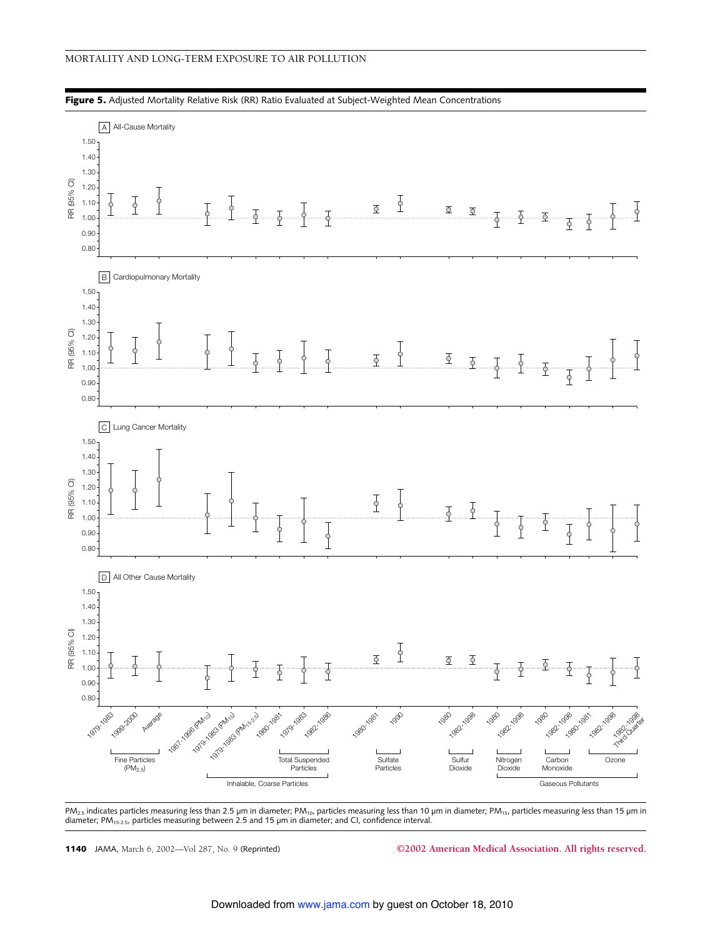

Figure 5. Adjusted Mortality Relative Risk (RR) Ratio Evaluated at Subject-Weighted Mean Concentrations

PM<sub>2.5</sub> indicates particles measuring less than 2.5 µm in diameter; PM<sub>10</sub>, particles measuring less than 10 µm in diameter; PM<sub>15</sub>, particles measuring less than 15 µm in diameter; PM<sub>15-2.5</sub>, particles measuring between 2.5 and 15 µm in diameter; and CI, confidence interval.